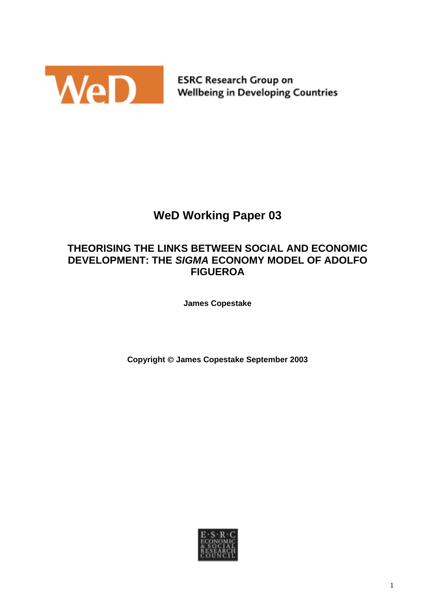

**ESRC Research Group on Wellbeing in Developing Countries** 

# **WeD Working Paper 03**

# **THEORISING THE LINKS BETWEEN SOCIAL AND ECONOMIC DEVELOPMENT: THE** *SIGMA* **ECONOMY MODEL OF ADOLFO FIGUEROA**

**James Copestake** 

**Copyright James Copestake September 2003** 

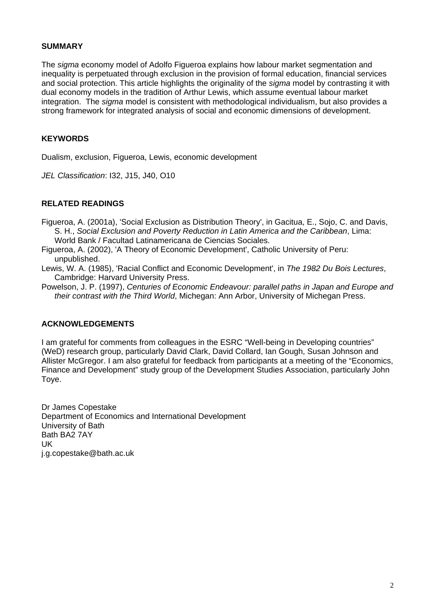#### **SUMMARY**

The *sigma* economy model of Adolfo Figueroa explains how labour market segmentation and inequality is perpetuated through exclusion in the provision of formal education, financial services and social protection. This article highlights the originality of the *sigma* model by contrasting it with dual economy models in the tradition of Arthur Lewis, which assume eventual labour market integration. The *sigma* model is consistent with methodological individualism, but also provides a strong framework for integrated analysis of social and economic dimensions of development.

# **KEYWORDS**

Dualism, exclusion, Figueroa, Lewis, economic development

*JEL Classification*: I32, J15, J40, O10

# **RELATED READINGS**

- Figueroa, A. (2001a), 'Social Exclusion as Distribution Theory', in Gacitua, E., Sojo, C. and Davis, S. H., *Social Exclusion and Poverty Reduction in Latin America and the Caribbean*, Lima: World Bank / Facultad Latinamericana de Ciencias Sociales.
- Figueroa, A. (2002), 'A Theory of Economic Development', Catholic University of Peru: unpublished.
- Lewis, W. A. (1985), 'Racial Conflict and Economic Development', in *The 1982 Du Bois Lectures*, Cambridge: Harvard University Press.
- Powelson, J. P. (1997), *Centuries of Economic Endeavour: parallel paths in Japan and Europe and their contrast with the Third World*, Michegan: Ann Arbor, University of Michegan Press.

# **ACKNOWLEDGEMENTS**

I am grateful for comments from colleagues in the ESRC "Well-being in Developing countries" (WeD) research group, particularly David Clark, David Collard, Ian Gough, Susan Johnson and Allister McGregor. I am also grateful for feedback from participants at a meeting of the "Economics, Finance and Development" study group of the Development Studies Association, particularly John Toye.

Dr James Copestake Department of Economics and International Development University of Bath Bath BA2 7AY UK j.g.copestake@bath.ac.uk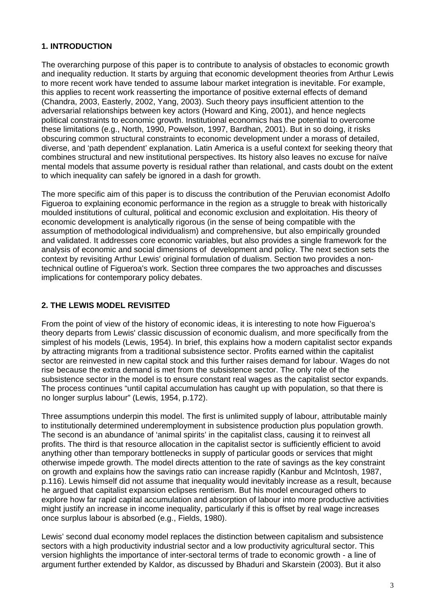# **1. INTRODUCTION**

The overarching purpose of this paper is to contribute to analysis of obstacles to economic growth and inequality reduction. It starts by arguing that economic development theories from Arthur Lewis to more recent work have tended to assume labour market integration is inevitable. For example, this applies to recent work reasserting the importance of positive external effects of demand (Chandra, 2003, Easterly, 2002, Yang, 2003). Such theory pays insufficient attention to the adversarial relationships between key actors (Howard and King, 2001), and hence neglects political constraints to economic growth. Institutional economics has the potential to overcome these limitations (e.g., North, 1990, Powelson, 1997, Bardhan, 2001). But in so doing, it risks obscuring common structural constraints to economic development under a morass of detailed, diverse, and 'path dependent' explanation. Latin America is a useful context for seeking theory that combines structural and new institutional perspectives. Its history also leaves no excuse for naïve mental models that assume poverty is residual rather than relational, and casts doubt on the extent to which inequality can safely be ignored in a dash for growth.

The more specific aim of this paper is to discuss the contribution of the Peruvian economist Adolfo Figueroa to explaining economic performance in the region as a struggle to break with historically moulded institutions of cultural, political and economic exclusion and exploitation. His theory of economic development is analytically rigorous (in the sense of being compatible with the assumption of methodological individualism) and comprehensive, but also empirically grounded and validated. It addresses core economic variables, but also provides a single framework for the analysis of economic and social dimensions of development and policy. The next section sets the context by revisiting Arthur Lewis' original formulation of dualism. Section two provides a nontechnical outline of Figueroa's work. Section three compares the two approaches and discusses implications for contemporary policy debates.

# **2. THE LEWIS MODEL REVISITED**

From the point of view of the history of economic ideas, it is interesting to note how Figueroa's theory departs from Lewis' classic discussion of economic dualism, and more specifically from the simplest of his models (Lewis, 1954). In brief, this explains how a modern capitalist sector expands by attracting migrants from a traditional subsistence sector. Profits earned within the capitalist sector are reinvested in new capital stock and this further raises demand for labour. Wages do not rise because the extra demand is met from the subsistence sector. The only role of the subsistence sector in the model is to ensure constant real wages as the capitalist sector expands. The process continues "until capital accumulation has caught up with population, so that there is no longer surplus labour" (Lewis, 1954, p.172).

Three assumptions underpin this model. The first is unlimited supply of labour, attributable mainly to institutionally determined underemployment in subsistence production plus population growth. The second is an abundance of 'animal spirits' in the capitalist class, causing it to reinvest all profits. The third is that resource allocation in the capitalist sector is sufficiently efficient to avoid anything other than temporary bottlenecks in supply of particular goods or services that might otherwise impede growth. The model directs attention to the rate of savings as the key constraint on growth and explains how the savings ratio can increase rapidly (Kanbur and McIntosh, 1987, p.116). Lewis himself did not assume that inequality would inevitably increase as a result, because he argued that capitalist expansion eclipses rentierism. But his model encouraged others to explore how far rapid capital accumulation and absorption of labour into more productive activities might justify an increase in income inequality, particularly if this is offset by real wage increases once surplus labour is absorbed (e.g., Fields, 1980).

Lewis' second dual economy model replaces the distinction between capitalism and subsistence sectors with a high productivity industrial sector and a low productivity agricultural sector. This version highlights the importance of inter-sectoral terms of trade to economic growth - a line of argument further extended by Kaldor, as discussed by Bhaduri and Skarstein (2003). But it also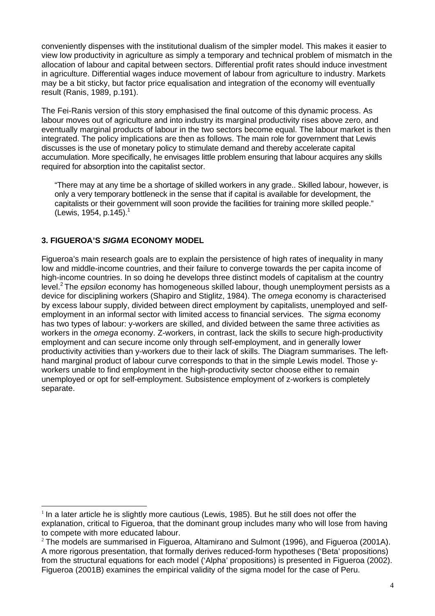conveniently dispenses with the institutional dualism of the simpler model. This makes it easier to view low productivity in agriculture as simply a temporary and technical problem of mismatch in the allocation of labour and capital between sectors. Differential profit rates should induce investment in agriculture. Differential wages induce movement of labour from agriculture to industry. Markets may be a bit sticky, but factor price equalisation and integration of the economy will eventually result (Ranis, 1989, p.191).

The Fei-Ranis version of this story emphasised the final outcome of this dynamic process. As labour moves out of agriculture and into industry its marginal productivity rises above zero, and eventually marginal products of labour in the two sectors become equal. The labour market is then integrated. The policy implications are then as follows. The main role for government that Lewis discusses is the use of monetary policy to stimulate demand and thereby accelerate capital accumulation. More specifically, he envisages little problem ensuring that labour acquires any skills required for absorption into the capitalist sector.

"There may at any time be a shortage of skilled workers in any grade.. Skilled labour, however, is only a very temporary bottleneck in the sense that if capital is available for development, the capitalists or their government will soon provide the facilities for training more skilled people." (Lewis, 1954, p.145). [1](#page-3-0) 

# **3. FIGUEROA'S** *SIGMA* **ECONOMY MODEL**

 $\overline{a}$ 

Figueroa's main research goals are to explain the persistence of high rates of inequality in many low and middle-income countries, and their failure to converge towards the per capita income of high-income countries. In so doing he develops three distinct models of capitalism at the country level.[2](#page-3-1) The *epsilon* economy has homogeneous skilled labour, though unemployment persists as a device for disciplining workers (Shapiro and Stiglitz, 1984). The *omega* economy is characterised by excess labour supply, divided between direct employment by capitalists, unemployed and selfemployment in an informal sector with limited access to financial services. The *sigma* economy has two types of labour: y-workers are skilled, and divided between the same three activities as workers in the *omega* economy. Z-workers, in contrast, lack the skills to secure high-productivity employment and can secure income only through self-employment, and in generally lower productivity activities than y-workers due to their lack of skills. The Diagram summarises. The lefthand marginal product of labour curve corresponds to that in the simple Lewis model. Those yworkers unable to find employment in the high-productivity sector choose either to remain unemployed or opt for self-employment. Subsistence employment of z-workers is completely separate.

<span id="page-3-0"></span> $1$  In a later article he is slightly more cautious (Lewis, 1985). But he still does not offer the explanation, critical to Figueroa, that the dominant group includes many who will lose from having to compete with more educated labour.

<span id="page-3-1"></span> $2$  The models are summarised in Figueroa, Altamirano and Sulmont (1996), and Figueroa (2001A). A more rigorous presentation, that formally derives reduced-form hypotheses ('Beta' propositions) from the structural equations for each model ('Alpha' propositions) is presented in Figueroa (2002). Figueroa (2001B) examines the empirical validity of the sigma model for the case of Peru.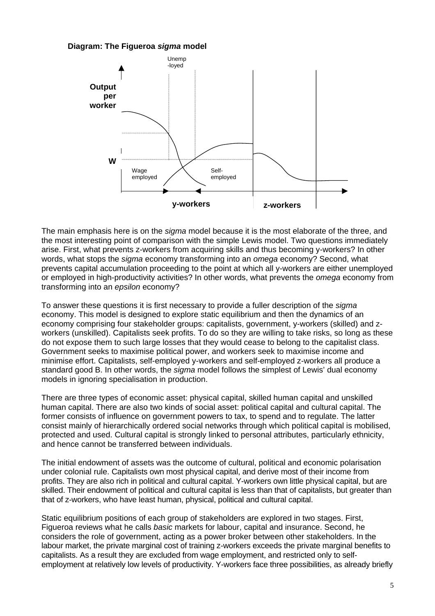#### **Diagram: The Figueroa** *sigma* **model**



The main emphasis here is on the *sigma* model because it is the most elaborate of the three, and the most interesting point of comparison with the simple Lewis model. Two questions immediately arise. First, what prevents z-workers from acquiring skills and thus becoming y-workers? In other words, what stops the *sigma* economy transforming into an *omega* economy? Second, what prevents capital accumulation proceeding to the point at which all y-workers are either unemployed or employed in high-productivity activities? In other words, what prevents the *omega* economy from transforming into an *epsilon* economy?

To answer these questions it is first necessary to provide a fuller description of the *sigma* economy. This model is designed to explore static equilibrium and then the dynamics of an economy comprising four stakeholder groups: capitalists, government, y-workers (skilled) and zworkers (unskilled). Capitalists seek profits. To do so they are willing to take risks, so long as these do not expose them to such large losses that they would cease to belong to the capitalist class. Government seeks to maximise political power, and workers seek to maximise income and minimise effort. Capitalists, self-employed y-workers and self-employed z-workers all produce a standard good B. In other words, the *sigma* model follows the simplest of Lewis' dual economy models in ignoring specialisation in production.

There are three types of economic asset: physical capital, skilled human capital and unskilled human capital. There are also two kinds of social asset: political capital and cultural capital. The former consists of influence on government powers to tax, to spend and to regulate. The latter consist mainly of hierarchically ordered social networks through which political capital is mobilised, protected and used. Cultural capital is strongly linked to personal attributes, particularly ethnicity, and hence cannot be transferred between individuals.

The initial endowment of assets was the outcome of cultural, political and economic polarisation under colonial rule. Capitalists own most physical capital, and derive most of their income from profits. They are also rich in political and cultural capital. Y-workers own little physical capital, but are skilled. Their endowment of political and cultural capital is less than that of capitalists, but greater than that of z-workers, who have least human, physical, political and cultural capital.

Static equilibrium positions of each group of stakeholders are explored in two stages. First, Figueroa reviews what he calls *basic* markets for labour, capital and insurance. Second, he considers the role of government, acting as a power broker between other stakeholders. In the labour market, the private marginal cost of training z-workers exceeds the private marginal benefits to capitalists. As a result they are excluded from wage employment, and restricted only to selfemployment at relatively low levels of productivity. Y-workers face three possibilities, as already briefly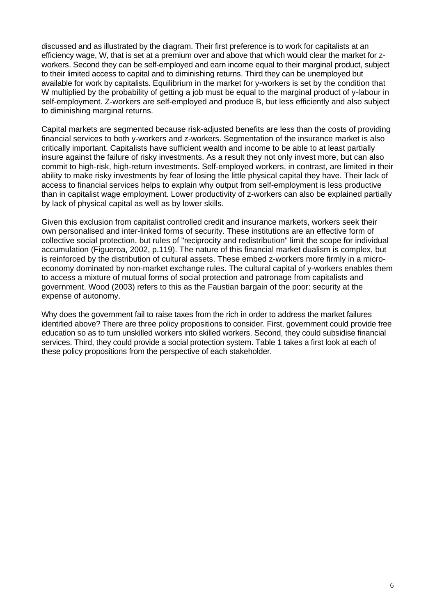discussed and as illustrated by the diagram. Their first preference is to work for capitalists at an efficiency wage, W, that is set at a premium over and above that which would clear the market for zworkers. Second they can be self-employed and earn income equal to their marginal product, subject to their limited access to capital and to diminishing returns. Third they can be unemployed but available for work by capitalists. Equilibrium in the market for y-workers is set by the condition that W multiplied by the probability of getting a job must be equal to the marginal product of y-labour in self-employment. Z-workers are self-employed and produce B, but less efficiently and also subject to diminishing marginal returns.

Capital markets are segmented because risk-adjusted benefits are less than the costs of providing financial services to both y-workers and z-workers. Segmentation of the insurance market is also critically important. Capitalists have sufficient wealth and income to be able to at least partially insure against the failure of risky investments. As a result they not only invest more, but can also commit to high-risk, high-return investments. Self-employed workers, in contrast, are limited in their ability to make risky investments by fear of losing the little physical capital they have. Their lack of access to financial services helps to explain why output from self-employment is less productive than in capitalist wage employment. Lower productivity of z-workers can also be explained partially by lack of physical capital as well as by lower skills.

Given this exclusion from capitalist controlled credit and insurance markets, workers seek their own personalised and inter-linked forms of security. These institutions are an effective form of collective social protection, but rules of "reciprocity and redistribution" limit the scope for individual accumulation (Figueroa, 2002, p.119). The nature of this financial market dualism is complex, but is reinforced by the distribution of cultural assets. These embed z-workers more firmly in a microeconomy dominated by non-market exchange rules. The cultural capital of y-workers enables them to access a mixture of mutual forms of social protection and patronage from capitalists and government. Wood (2003) refers to this as the Faustian bargain of the poor: security at the expense of autonomy.

Why does the government fail to raise taxes from the rich in order to address the market failures identified above? There are three policy propositions to consider. First, government could provide free education so as to turn unskilled workers into skilled workers. Second, they could subsidise financial services. Third, they could provide a social protection system. Table 1 takes a first look at each of these policy propositions from the perspective of each stakeholder.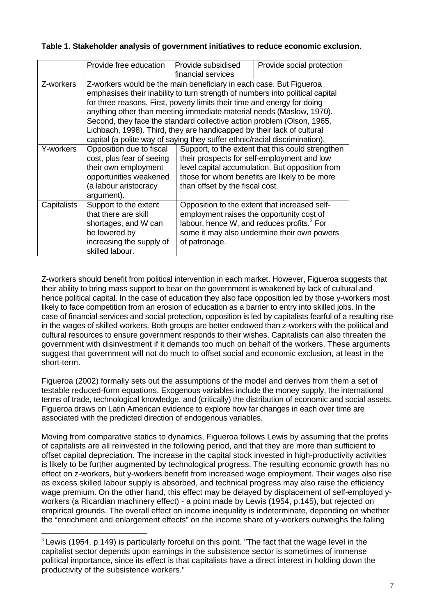# **Table 1. Stakeholder analysis of government initiatives to reduce economic exclusion.**

|             | Provide free education                                                                                                                                                                                                                                                                                                                                                                                                                                                                                                                    | Provide subsidised<br>financial services                   | Provide social protection                                                                                                                                                                            |
|-------------|-------------------------------------------------------------------------------------------------------------------------------------------------------------------------------------------------------------------------------------------------------------------------------------------------------------------------------------------------------------------------------------------------------------------------------------------------------------------------------------------------------------------------------------------|------------------------------------------------------------|------------------------------------------------------------------------------------------------------------------------------------------------------------------------------------------------------|
| Z-workers   | Z-workers would be the main beneficiary in each case. But Figueroa<br>emphasises their inability to turn strength of numbers into political capital<br>for three reasons. First, poverty limits their time and energy for doing<br>anything other than meeting immediate material needs (Maslow, 1970).<br>Second, they face the standard collective action problem (Olson, 1965,<br>Lichbach, 1998). Third, they are handicapped by their lack of cultural<br>capital (a polite way of saying they suffer ethnic/racial discrimination). |                                                            |                                                                                                                                                                                                      |
| Y-workers   | Opposition due to fiscal<br>cost, plus fear of seeing<br>their own employment<br>opportunities weakened<br>(a labour aristocracy<br>argument).                                                                                                                                                                                                                                                                                                                                                                                            | than offset by the fiscal cost.                            | Support, to the extent that this could strengthen<br>their prospects for self-employment and low<br>level capital accumulation. But opposition from<br>those for whom benefits are likely to be more |
| Capitalists | Support to the extent<br>that there are skill<br>shortages, and W can<br>be lowered by<br>increasing the supply of<br>skilled labour.                                                                                                                                                                                                                                                                                                                                                                                                     | employment raises the opportunity cost of<br>of patronage. | Opposition to the extent that increased self-<br>labour, hence W, and reduces profits. <sup>3</sup> For<br>some it may also undermine their own powers                                               |

Z-workers should benefit from political intervention in each market. However, Figueroa suggests that their ability to bring mass support to bear on the government is weakened by lack of cultural and hence political capital. In the case of education they also face opposition led by those y-workers most likely to face competition from an erosion of education as a barrier to entry into skilled jobs. In the case of financial services and social protection, opposition is led by capitalists fearful of a resulting rise in the wages of skilled workers. Both groups are better endowed than z-workers with the political and cultural resources to ensure government responds to their wishes. Capitalists can also threaten the government with disinvestment if it demands too much on behalf of the workers. These arguments suggest that government will not do much to offset social and economic exclusion, at least in the short-term.

Figueroa (2002) formally sets out the assumptions of the model and derives from them a set of testable reduced-form equations. Exogenous variables include the money supply, the international terms of trade, technological knowledge, and (critically) the distribution of economic and social assets. Figueroa draws on Latin American evidence to explore how far changes in each over time are associated with the predicted direction of endogenous variables.

Moving from comparative statics to dynamics, Figueroa follows Lewis by assuming that the profits of capitalists are all reinvested in the following period, and that they are more than sufficient to offset capital depreciation. The increase in the capital stock invested in high-productivity activities is likely to be further augmented by technological progress. The resulting economic growth has no effect on z-workers, but y-workers benefit from increased wage employment. Their wages also rise as excess skilled labour supply is absorbed, and technical progress may also raise the efficiency wage premium. On the other hand, this effect may be delayed by displacement of self-employed yworkers (a Ricardian machinery effect) - a point made by Lewis (1954, p.145), but rejected on empirical grounds. The overall effect on income inequality is indeterminate, depending on whether the "enrichment and enlargement effects" on the income share of y-workers outweighs the falling

<span id="page-6-0"></span> $3$  Lewis (1954, p.149) is particularly forceful on this point. "The fact that the wage level in the capitalist sector depends upon earnings in the subsistence sector is sometimes of immense political importance, since its effect is that capitalists have a direct interest in holding down the productivity of the subsistence workers."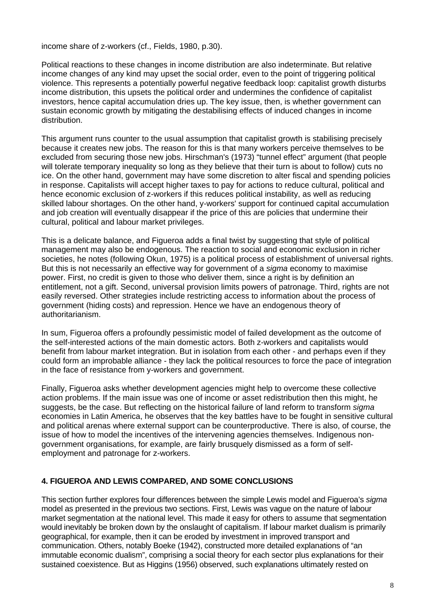income share of z-workers (cf., Fields, 1980, p.30).

Political reactions to these changes in income distribution are also indeterminate. But relative income changes of any kind may upset the social order, even to the point of triggering political violence. This represents a potentially powerful negative feedback loop: capitalist growth disturbs income distribution, this upsets the political order and undermines the confidence of capitalist investors, hence capital accumulation dries up. The key issue, then, is whether government can sustain economic growth by mitigating the destabilising effects of induced changes in income distribution.

This argument runs counter to the usual assumption that capitalist growth is stabilising precisely because it creates new jobs. The reason for this is that many workers perceive themselves to be excluded from securing those new jobs. Hirschman's (1973) "tunnel effect" argument (that people will tolerate temporary inequality so long as they believe that their turn is about to follow) cuts no ice. On the other hand, government may have some discretion to alter fiscal and spending policies in response. Capitalists will accept higher taxes to pay for actions to reduce cultural, political and hence economic exclusion of z-workers if this reduces political instability, as well as reducing skilled labour shortages. On the other hand, y-workers' support for continued capital accumulation and iob creation will eventually disappear if the price of this are policies that undermine their cultural, political and labour market privileges.

This is a delicate balance, and Figueroa adds a final twist by suggesting that style of political management may also be endogenous. The reaction to social and economic exclusion in richer societies, he notes (following Okun, 1975) is a political process of establishment of universal rights. But this is not necessarily an effective way for government of a *sigma* economy to maximise power. First, no credit is given to those who deliver them, since a right is by definition an entitlement, not a gift. Second, universal provision limits powers of patronage. Third, rights are not easily reversed. Other strategies include restricting access to information about the process of government (hiding costs) and repression. Hence we have an endogenous theory of authoritarianism.

In sum, Figueroa offers a profoundly pessimistic model of failed development as the outcome of the self-interested actions of the main domestic actors. Both z-workers and capitalists would benefit from labour market integration. But in isolation from each other - and perhaps even if they could form an improbable alliance - they lack the political resources to force the pace of integration in the face of resistance from y-workers and government.

Finally, Figueroa asks whether development agencies might help to overcome these collective action problems. If the main issue was one of income or asset redistribution then this might, he suggests, be the case. But reflecting on the historical failure of land reform to transform *sigma* economies in Latin America, he observes that the key battles have to be fought in sensitive cultural and political arenas where external support can be counterproductive. There is also, of course, the issue of how to model the incentives of the intervening agencies themselves. Indigenous nongovernment organisations, for example, are fairly brusquely dismissed as a form of selfemployment and patronage for z-workers.

# **4. FIGUEROA AND LEWIS COMPARED, AND SOME CONCLUSIONS**

This section further explores four differences between the simple Lewis model and Figueroa's *sigma* model as presented in the previous two sections. First, Lewis was vague on the nature of labour market segmentation at the national level. This made it easy for others to assume that segmentation would inevitably be broken down by the onslaught of capitalism. If labour market dualism is primarily geographical, for example, then it can be eroded by investment in improved transport and communication. Others, notably Boeke (1942), constructed more detailed explanations of "an immutable economic dualism", comprising a social theory for each sector plus explanations for their sustained coexistence. But as Higgins (1956) observed, such explanations ultimately rested on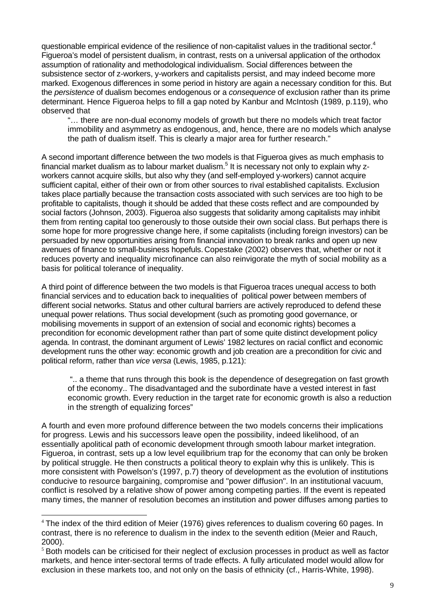questionable empirical evidence of the resilience of non-capitalist values in the traditional sector.<sup>[4](#page-8-0)</sup> Figueroa's model of persistent dualism, in contrast, rests on a universal application of the orthodox assumption of rationality and methodological individualism. Social differences between the subsistence sector of z-workers, y-workers and capitalists persist, and may indeed become more marked. Exogenous differences in some period in history are again a necessary condition for this. But the *persistence* of dualism becomes endogenous or a *consequence* of exclusion rather than its prime determinant. Hence Figueroa helps to fill a gap noted by Kanbur and McIntosh (1989, p.119), who observed that

"… there are non-dual economy models of growth but there no models which treat factor immobility and asymmetry as endogenous, and, hence, there are no models which analyse the path of dualism itself. This is clearly a major area for further research."

A second important difference between the two models is that Figueroa gives as much emphasis to financial market dualism as to labour market dualism.<sup>5</sup> It is necessary not only to explain why zworkers cannot acquire skills, but also why they (and self-employed y-workers) cannot acquire sufficient capital, either of their own or from other sources to rival established capitalists. Exclusion takes place partially because the transaction costs associated with such services are too high to be profitable to capitalists, though it should be added that these costs reflect and are compounded by social factors (Johnson, 2003). Figueroa also suggests that solidarity among capitalists may inhibit them from renting capital too generously to those outside their own social class. But perhaps there is some hope for more progressive change here, if some capitalists (including foreign investors) can be persuaded by new opportunities arising from financial innovation to break ranks and open up new avenues of finance to small-business hopefuls. Copestake (2002) observes that, whether or not it reduces poverty and inequality microfinance can also reinvigorate the myth of social mobility as a basis for political tolerance of inequality.

A third point of difference between the two models is that Figueroa traces unequal access to both financial services and to education back to inequalities of political power between members of different social networks. Status and other cultural barriers are actively reproduced to defend these unequal power relations. Thus social development (such as promoting good governance, or mobilising movements in support of an extension of social and economic rights) becomes a precondition for economic development rather than part of some quite distinct development policy agenda. In contrast, the dominant argument of Lewis' 1982 lectures on racial conflict and economic development runs the other way: economic growth and job creation are a precondition for civic and political reform, rather than *vice versa* (Lewis, 1985, p.121):

 ".. a theme that runs through this book is the dependence of desegregation on fast growth of the economy.. The disadvantaged and the subordinate have a vested interest in fast economic growth. Every reduction in the target rate for economic growth is also a reduction in the strength of equalizing forces"

A fourth and even more profound difference between the two models concerns their implications for progress. Lewis and his successors leave open the possibility, indeed likelihood, of an essentially apolitical path of economic development through smooth labour market integration. Figueroa, in contrast, sets up a low level equilibrium trap for the economy that can only be broken by political struggle. He then constructs a political theory to explain why this is unlikely. This is more consistent with Powelson's (1997, p.7) theory of development as the evolution of institutions conducive to resource bargaining, compromise and "power diffusion". In an institutional vacuum, conflict is resolved by a relative show of power among competing parties. If the event is repeated many times, the manner of resolution becomes an institution and power diffuses among parties to

 $\overline{a}$ 

<span id="page-8-0"></span><sup>&</sup>lt;sup>4</sup> The index of the third edition of Meier (1976) gives references to dualism covering 60 pages. In contrast, there is no reference to dualism in the index to the seventh edition (Meier and Rauch, 2000).

<span id="page-8-1"></span> $<sup>5</sup>$  Both models can be criticised for their neglect of exclusion processes in product as well as factor</sup> markets, and hence inter-sectoral terms of trade effects. A fully articulated model would allow for exclusion in these markets too, and not only on the basis of ethnicity (cf., Harris-White, 1998).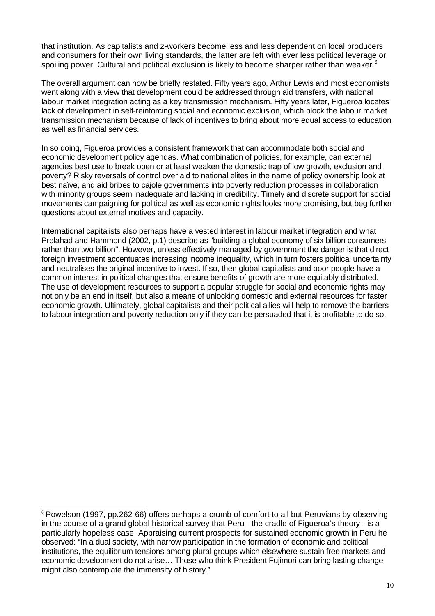that institution. As capitalists and z-workers become less and less dependent on local producers and consumers for their own living standards, the latter are left with ever less political leverage or spoiling power. Cultural and political exclusion is likely to become sharper rather than weaker.<sup>[6](#page-9-0)</sup>

The overall argument can now be briefly restated. Fifty years ago, Arthur Lewis and most economists went along with a view that development could be addressed through aid transfers, with national labour market integration acting as a key transmission mechanism. Fifty years later, Figueroa locates lack of development in self-reinforcing social and economic exclusion, which block the labour market transmission mechanism because of lack of incentives to bring about more equal access to education as well as financial services.

In so doing, Figueroa provides a consistent framework that can accommodate both social and economic development policy agendas. What combination of policies, for example, can external agencies best use to break open or at least weaken the domestic trap of low growth, exclusion and poverty? Risky reversals of control over aid to national elites in the name of policy ownership look at best naïve, and aid bribes to cajole governments into poverty reduction processes in collaboration with minority groups seem inadequate and lacking in credibility. Timely and discrete support for social movements campaigning for political as well as economic rights looks more promising, but beg further questions about external motives and capacity.

International capitalists also perhaps have a vested interest in labour market integration and what Prelahad and Hammond (2002, p.1) describe as "building a global economy of six billion consumers rather than two billion". However, unless effectively managed by government the danger is that direct foreign investment accentuates increasing income inequality, which in turn fosters political uncertainty and neutralises the original incentive to invest. If so, then global capitalists and poor people have a common interest in political changes that ensure benefits of growth are more equitably distributed. The use of development resources to support a popular struggle for social and economic rights may not only be an end in itself, but also a means of unlocking domestic and external resources for faster economic growth. Ultimately, global capitalists and their political allies will help to remove the barriers to labour integration and poverty reduction only if they can be persuaded that it is profitable to do so.

 $\overline{a}$ 

<span id="page-9-0"></span><sup>6</sup> Powelson (1997, pp.262-66) offers perhaps a crumb of comfort to all but Peruvians by observing in the course of a grand global historical survey that Peru - the cradle of Figueroa's theory - is a particularly hopeless case. Appraising current prospects for sustained economic growth in Peru he observed: "In a dual society, with narrow participation in the formation of economic and political institutions, the equilibrium tensions among plural groups which elsewhere sustain free markets and economic development do not arise… Those who think President Fujimori can bring lasting change might also contemplate the immensity of history."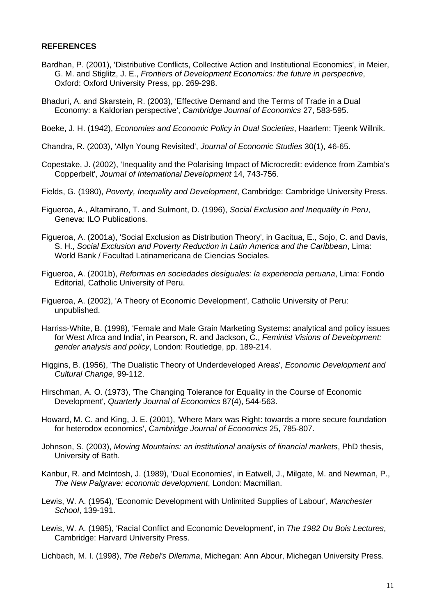#### **REFERENCES**

- Bardhan, P. (2001), 'Distributive Conflicts, Collective Action and Institutional Economics', in Meier, G. M. and Stiglitz, J. E., *Frontiers of Development Economics: the future in perspective*, Oxford: Oxford University Press, pp. 269-298.
- Bhaduri, A. and Skarstein, R. (2003), 'Effective Demand and the Terms of Trade in a Dual Economy: a Kaldorian perspective', *Cambridge Journal of Economics* 27, 583-595.
- Boeke, J. H. (1942), *Economies and Economic Policy in Dual Societies*, Haarlem: Tieenk Willnik.
- Chandra, R. (2003), 'Allyn Young Revisited', *Journal of Economic Studies* 30(1), 46-65.
- Copestake, J. (2002), 'Inequality and the Polarising Impact of Microcredit: evidence from Zambia's Copperbelt', *Journal of International Development* 14, 743-756.
- Fields, G. (1980), *Poverty, Inequality and Development*, Cambridge: Cambridge University Press.
- Figueroa, A., Altamirano, T. and Sulmont, D. (1996), *Social Exclusion and Inequality in Peru*, Geneva: ILO Publications.
- Figueroa, A. (2001a), 'Social Exclusion as Distribution Theory', in Gacitua, E., Sojo, C. and Davis, S. H., *Social Exclusion and Poverty Reduction in Latin America and the Caribbean*, Lima: World Bank / Facultad Latinamericana de Ciencias Sociales.
- Figueroa, A. (2001b), *Reformas en sociedades desiguales: la experiencia peruana*, Lima: Fondo Editorial, Catholic University of Peru.
- Figueroa, A. (2002), 'A Theory of Economic Development', Catholic University of Peru: unpublished.
- Harriss-White, B. (1998), 'Female and Male Grain Marketing Systems: analytical and policy issues for West Afrca and India', in Pearson, R. and Jackson, C., *Feminist Visions of Development: gender analysis and policy*, London: Routledge, pp. 189-214.
- Higgins, B. (1956), 'The Dualistic Theory of Underdeveloped Areas', *Economic Development and Cultural Change*, 99-112.
- Hirschman, A. O. (1973), 'The Changing Tolerance for Equality in the Course of Economic Development', *Quarterly Journal of Economics* 87(4), 544-563.
- Howard, M. C. and King, J. E. (2001), 'Where Marx was Right: towards a more secure foundation for heterodox economics', *Cambridge Journal of Economics* 25, 785-807.
- Johnson, S. (2003), *Moving Mountains: an institutional analysis of financial markets*, PhD thesis, University of Bath.
- Kanbur, R. and McIntosh, J. (1989), 'Dual Economies', in Eatwell, J., Milgate, M. and Newman, P., *The New Palgrave: economic development*, London: Macmillan.
- Lewis, W. A. (1954), 'Economic Development with Unlimited Supplies of Labour', *Manchester School*, 139-191.
- Lewis, W. A. (1985), 'Racial Conflict and Economic Development', in *The 1982 Du Bois Lectures*, Cambridge: Harvard University Press.
- Lichbach, M. I. (1998), *The Rebel's Dilemma*, Michegan: Ann Abour, Michegan University Press.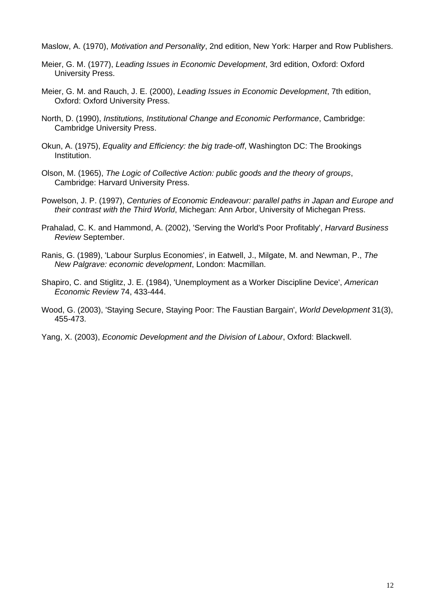Maslow, A. (1970), *Motivation and Personality*, 2nd edition, New York: Harper and Row Publishers.

- Meier, G. M. (1977), *Leading Issues in Economic Development*, 3rd edition, Oxford: Oxford University Press.
- Meier, G. M. and Rauch, J. E. (2000), *Leading Issues in Economic Development*, 7th edition, Oxford: Oxford University Press.
- North, D. (1990), *Institutions, Institutional Change and Economic Performance*, Cambridge: Cambridge University Press.
- Okun, A. (1975), *Equality and Efficiency: the big trade-off*, Washington DC: The Brookings Institution.
- Olson, M. (1965), *The Logic of Collective Action: public goods and the theory of groups*, Cambridge: Harvard University Press.
- Powelson, J. P. (1997), *Centuries of Economic Endeavour: parallel paths in Japan and Europe and their contrast with the Third World*, Michegan: Ann Arbor, University of Michegan Press.
- Prahalad, C. K. and Hammond, A. (2002), 'Serving the World's Poor Profitably', *Harvard Business Review* September.
- Ranis, G. (1989), 'Labour Surplus Economies', in Eatwell, J., Milgate, M. and Newman, P., *The New Palgrave: economic development*, London: Macmillan.
- Shapiro, C. and Stiglitz, J. E. (1984), 'Unemployment as a Worker Discipline Device', *American Economic Review* 74, 433-444.
- Wood, G. (2003), 'Staying Secure, Staying Poor: The Faustian Bargain', *World Development* 31(3), 455-473.
- Yang, X. (2003), *Economic Development and the Division of Labour*, Oxford: Blackwell.